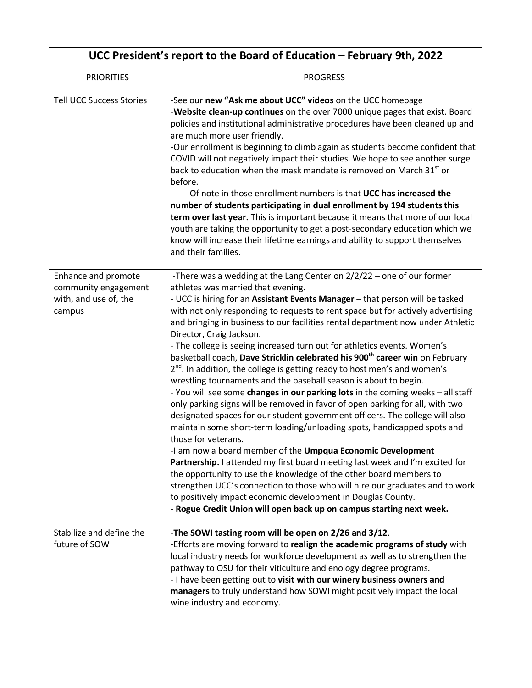| UCC President's report to the Board of Education – February 9th, 2022          |                                                                                                                                                                                                                                                                                                                                                                                                                                                                                                                                                                                                                                                                                                                                                                                                                                                                                                                                                                                                                                                                                                                                                                                                                                                                                                                                                                                                                                                                                                                                  |  |
|--------------------------------------------------------------------------------|----------------------------------------------------------------------------------------------------------------------------------------------------------------------------------------------------------------------------------------------------------------------------------------------------------------------------------------------------------------------------------------------------------------------------------------------------------------------------------------------------------------------------------------------------------------------------------------------------------------------------------------------------------------------------------------------------------------------------------------------------------------------------------------------------------------------------------------------------------------------------------------------------------------------------------------------------------------------------------------------------------------------------------------------------------------------------------------------------------------------------------------------------------------------------------------------------------------------------------------------------------------------------------------------------------------------------------------------------------------------------------------------------------------------------------------------------------------------------------------------------------------------------------|--|
| <b>PRIORITIES</b>                                                              | <b>PROGRESS</b>                                                                                                                                                                                                                                                                                                                                                                                                                                                                                                                                                                                                                                                                                                                                                                                                                                                                                                                                                                                                                                                                                                                                                                                                                                                                                                                                                                                                                                                                                                                  |  |
| <b>Tell UCC Success Stories</b>                                                | -See our new "Ask me about UCC" videos on the UCC homepage<br>-Website clean-up continues on the over 7000 unique pages that exist. Board<br>policies and institutional administrative procedures have been cleaned up and<br>are much more user friendly.<br>-Our enrollment is beginning to climb again as students become confident that<br>COVID will not negatively impact their studies. We hope to see another surge<br>back to education when the mask mandate is removed on March 31 <sup>st</sup> or<br>before.<br>Of note in those enrollment numbers is that UCC has increased the<br>number of students participating in dual enrollment by 194 students this<br>term over last year. This is important because it means that more of our local<br>youth are taking the opportunity to get a post-secondary education which we<br>know will increase their lifetime earnings and ability to support themselves<br>and their families.                                                                                                                                                                                                                                                                                                                                                                                                                                                                                                                                                                               |  |
| Enhance and promote<br>community engagement<br>with, and use of, the<br>campus | -There was a wedding at the Lang Center on $2/2/22$ – one of our former<br>athletes was married that evening.<br>- UCC is hiring for an Assistant Events Manager - that person will be tasked<br>with not only responding to requests to rent space but for actively advertising<br>and bringing in business to our facilities rental department now under Athletic<br>Director, Craig Jackson.<br>- The college is seeing increased turn out for athletics events. Women's<br>basketball coach, Dave Stricklin celebrated his 900 <sup>th</sup> career win on February<br>$2^{nd}$ . In addition, the college is getting ready to host men's and women's<br>wrestling tournaments and the baseball season is about to begin.<br>- You will see some changes in our parking lots in the coming weeks - all staff<br>only parking signs will be removed in favor of open parking for all, with two<br>designated spaces for our student government officers. The college will also<br>maintain some short-term loading/unloading spots, handicapped spots and<br>those for veterans.<br>-I am now a board member of the Umpqua Economic Development<br>Partnership. I attended my first board meeting last week and I'm excited for<br>the opportunity to use the knowledge of the other board members to<br>strengthen UCC's connection to those who will hire our graduates and to work<br>to positively impact economic development in Douglas County.<br>- Rogue Credit Union will open back up on campus starting next week. |  |
| Stabilize and define the<br>future of SOWI                                     | -The SOWI tasting room will be open on 2/26 and 3/12.<br>-Efforts are moving forward to realign the academic programs of study with<br>local industry needs for workforce development as well as to strengthen the<br>pathway to OSU for their viticulture and enology degree programs.<br>- I have been getting out to visit with our winery business owners and<br>managers to truly understand how SOWI might positively impact the local<br>wine industry and economy.                                                                                                                                                                                                                                                                                                                                                                                                                                                                                                                                                                                                                                                                                                                                                                                                                                                                                                                                                                                                                                                       |  |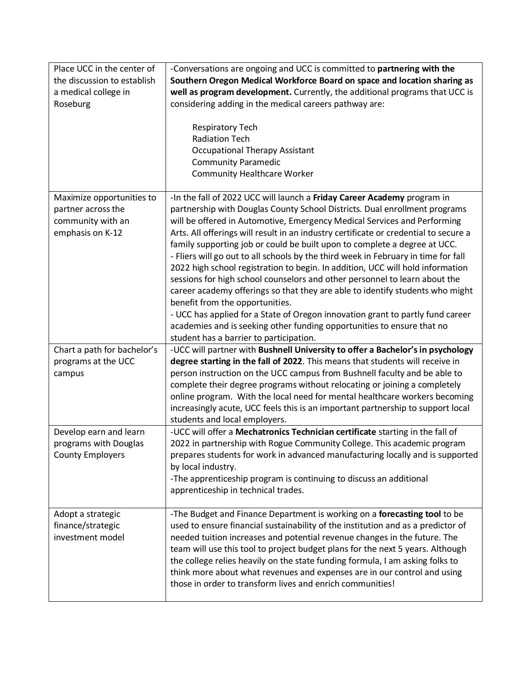| Place UCC in the center of<br>the discussion to establish<br>a medical college in        | -Conversations are ongoing and UCC is committed to partnering with the<br>Southern Oregon Medical Workforce Board on space and location sharing as<br>well as program development. Currently, the additional programs that UCC is                                                                                                                                                                                                                                                                                                                                                                                                                                                                                                                                                                                                                                                                                                                                                       |
|------------------------------------------------------------------------------------------|-----------------------------------------------------------------------------------------------------------------------------------------------------------------------------------------------------------------------------------------------------------------------------------------------------------------------------------------------------------------------------------------------------------------------------------------------------------------------------------------------------------------------------------------------------------------------------------------------------------------------------------------------------------------------------------------------------------------------------------------------------------------------------------------------------------------------------------------------------------------------------------------------------------------------------------------------------------------------------------------|
| Roseburg                                                                                 | considering adding in the medical careers pathway are:                                                                                                                                                                                                                                                                                                                                                                                                                                                                                                                                                                                                                                                                                                                                                                                                                                                                                                                                  |
|                                                                                          | <b>Respiratory Tech</b><br><b>Radiation Tech</b><br><b>Occupational Therapy Assistant</b><br><b>Community Paramedic</b><br><b>Community Healthcare Worker</b>                                                                                                                                                                                                                                                                                                                                                                                                                                                                                                                                                                                                                                                                                                                                                                                                                           |
| Maximize opportunities to<br>partner across the<br>community with an<br>emphasis on K-12 | -In the fall of 2022 UCC will launch a Friday Career Academy program in<br>partnership with Douglas County School Districts. Dual enrollment programs<br>will be offered in Automotive, Emergency Medical Services and Performing<br>Arts. All offerings will result in an industry certificate or credential to secure a<br>family supporting job or could be built upon to complete a degree at UCC.<br>- Fliers will go out to all schools by the third week in February in time for fall<br>2022 high school registration to begin. In addition, UCC will hold information<br>sessions for high school counselors and other personnel to learn about the<br>career academy offerings so that they are able to identify students who might<br>benefit from the opportunities.<br>- UCC has applied for a State of Oregon innovation grant to partly fund career<br>academies and is seeking other funding opportunities to ensure that no<br>student has a barrier to participation. |
| Chart a path for bachelor's                                                              | -UCC will partner with Bushnell University to offer a Bachelor's in psychology                                                                                                                                                                                                                                                                                                                                                                                                                                                                                                                                                                                                                                                                                                                                                                                                                                                                                                          |
| programs at the UCC<br>campus                                                            | degree starting in the fall of 2022. This means that students will receive in<br>person instruction on the UCC campus from Bushnell faculty and be able to<br>complete their degree programs without relocating or joining a completely<br>online program. With the local need for mental healthcare workers becoming<br>increasingly acute, UCC feels this is an important partnership to support local<br>students and local employers.                                                                                                                                                                                                                                                                                                                                                                                                                                                                                                                                               |
| Develop earn and learn<br>programs with Douglas<br><b>County Employers</b>               | -UCC will offer a Mechatronics Technician certificate starting in the fall of<br>2022 in partnership with Rogue Community College. This academic program<br>prepares students for work in advanced manufacturing locally and is supported<br>by local industry.<br>-The apprenticeship program is continuing to discuss an additional<br>apprenticeship in technical trades.                                                                                                                                                                                                                                                                                                                                                                                                                                                                                                                                                                                                            |
| Adopt a strategic<br>finance/strategic<br>investment model                               | -The Budget and Finance Department is working on a forecasting tool to be<br>used to ensure financial sustainability of the institution and as a predictor of<br>needed tuition increases and potential revenue changes in the future. The<br>team will use this tool to project budget plans for the next 5 years. Although<br>the college relies heavily on the state funding formula, I am asking folks to<br>think more about what revenues and expenses are in our control and using<br>those in order to transform lives and enrich communities!                                                                                                                                                                                                                                                                                                                                                                                                                                  |